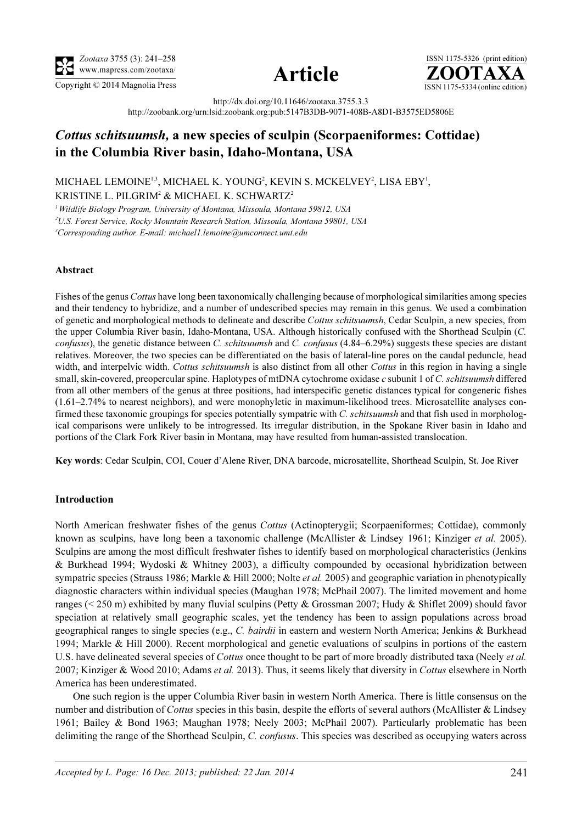





http://dx.doi.org/10.11646/zootaxa.3755.3.3 http://zoobank.org/urn:lsid:zoobank.org:pub:5147B3DB-9071-408B-A8D1-B3575ED5806E

# Cottus schitsuumsh, a new species of sculpin (Scorpaeniformes: Cottidae) in the Columbia River basin, Idaho-Montana, USA

MICHAEL LEMOINE<sup>1,3</sup>, MICHAEL K. YOUNG<sup>2</sup>, KEVIN S. MCKELVEY<sup>2</sup>, LISA EBY<sup>1</sup>, KRISTINE L. PILGRIM<sup>2</sup> & MICHAEL K. SCHWARTZ<sup>2</sup>

<sup>1</sup> Wildlife Biology Program, University of Montana, Missoula, Montana 59812, USA

2 U.S. Forest Service, Rocky Mountain Research Station, Missoula, Montana 59801, USA

<sup>3</sup>Corresponding author. E-mail: michael1.lemoine@umconnect.umt.edu

## Abstract

Fishes of the genus Cottus have long been taxonomically challenging because of morphological similarities among species and their tendency to hybridize, and a number of undescribed species may remain in this genus. We used a combination of genetic and morphological methods to delineate and describe Cottus schitsuumsh, Cedar Sculpin, a new species, from the upper Columbia River basin, Idaho-Montana, USA. Although historically confused with the Shorthead Sculpin (C. confusus), the genetic distance between C. schitsuumsh and C. confusus (4.84–6.29%) suggests these species are distant relatives. Moreover, the two species can be differentiated on the basis of lateral-line pores on the caudal peduncle, head width, and interpelvic width. Cottus schitsuumsh is also distinct from all other Cottus in this region in having a single small, skin-covered, preopercular spine. Haplotypes of mtDNA cytochrome oxidase c subunit 1 of C. schitsuumsh differed from all other members of the genus at three positions, had interspecific genetic distances typical for congeneric fishes (1.61–2.74% to nearest neighbors), and were monophyletic in maximum-likelihood trees. Microsatellite analyses confirmed these taxonomic groupings for species potentially sympatric with C. *schitsuumsh* and that fish used in morphological comparisons were unlikely to be introgressed. Its irregular distribution, in the Spokane River basin in Idaho and portions of the Clark Fork River basin in Montana, may have resulted from human-assisted translocation.

Key words: Cedar Sculpin, COI, Couer d'Alene River, DNA barcode, microsatellite, Shorthead Sculpin, St. Joe River

#### Introduction

North American freshwater fishes of the genus Cottus (Actinopterygii; Scorpaeniformes; Cottidae), commonly known as sculpins, have long been a taxonomic challenge (McAllister & Lindsey 1961; Kinziger *et al.* 2005). Sculpins are among the most difficult freshwater fishes to identify based on morphological characteristics (Jenkins & Burkhead 1994; Wydoski & Whitney 2003), a difficulty compounded by occasional hybridization between sympatric species (Strauss 1986; Markle & Hill 2000; Nolte *et al.* 2005) and geographic variation in phenotypically diagnostic characters within individual species (Maughan 1978; McPhail 2007). The limited movement and home ranges (< 250 m) exhibited by many fluvial sculpins (Petty & Grossman 2007; Hudy & Shiflet 2009) should favor speciation at relatively small geographic scales, yet the tendency has been to assign populations across broad geographical ranges to single species (e.g., C. bairdii in eastern and western North America; Jenkins & Burkhead 1994; Markle & Hill 2000). Recent morphological and genetic evaluations of sculpins in portions of the eastern U.S. have delineated several species of *Cottus* once thought to be part of more broadly distributed taxa (Neely *et al.*) 2007; Kinziger & Wood 2010; Adams et al. 2013). Thus, it seems likely that diversity in Cottus elsewhere in North America has been underestimated.

One such region is the upper Columbia River basin in western North America. There is little consensus on the number and distribution of Cottus species in this basin, despite the efforts of several authors (McAllister & Lindsey 1961; Bailey & Bond 1963; Maughan 1978; Neely 2003; McPhail 2007). Particularly problematic has been delimiting the range of the Shorthead Sculpin, C. confusus. This species was described as occupying waters across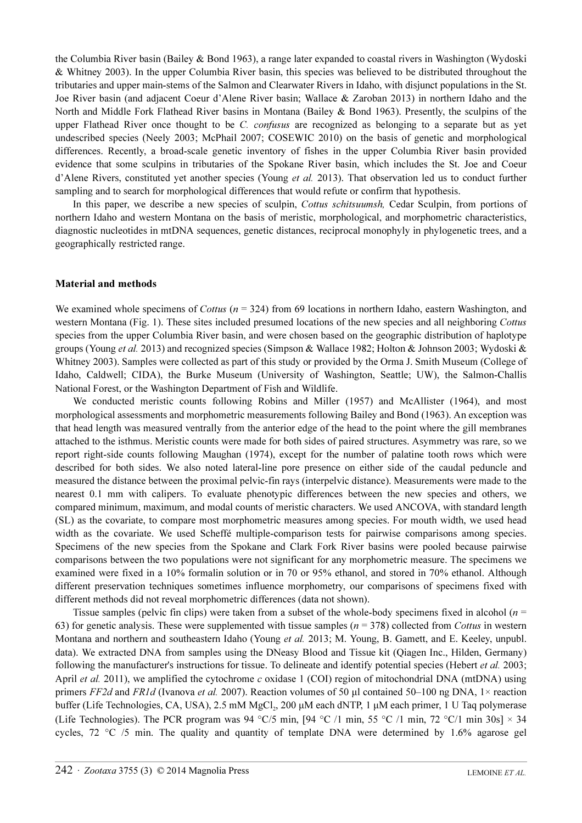the Columbia River basin (Bailey & Bond 1963), a range later expanded to coastal rivers in Washington (Wydoski & Whitney 2003). In the upper Columbia River basin, this species was believed to be distributed throughout the tributaries and upper main-stems of the Salmon and Clearwater Rivers in Idaho, with disjunct populations in the St. Joe River basin (and adjacent Coeur d'Alene River basin; Wallace & Zaroban 2013) in northern Idaho and the North and Middle Fork Flathead River basins in Montana (Bailey & Bond 1963). Presently, the sculpins of the upper Flathead River once thought to be C. *confusus* are recognized as belonging to a separate but as yet undescribed species (Neely 2003; McPhail 2007; COSEWIC 2010) on the basis of genetic and morphological differences. Recently, a broad-scale genetic inventory of fishes in the upper Columbia River basin provided evidence that some sculpins in tributaries of the Spokane River basin, which includes the St. Joe and Coeur d'Alene Rivers, constituted yet another species (Young *et al.* 2013). That observation led us to conduct further sampling and to search for morphological differences that would refute or confirm that hypothesis.

In this paper, we describe a new species of sculpin, Cottus schitsuumsh, Cedar Sculpin, from portions of northern Idaho and western Montana on the basis of meristic, morphological, and morphometric characteristics, diagnostic nucleotides in mtDNA sequences, genetic distances, reciprocal monophyly in phylogenetic trees, and a geographically restricted range.

#### Material and methods

We examined whole specimens of *Cottus* ( $n = 324$ ) from 69 locations in northern Idaho, eastern Washington, and western Montana (Fig. 1). These sites included presumed locations of the new species and all neighboring Cottus species from the upper Columbia River basin, and were chosen based on the geographic distribution of haplotype groups (Young et al. 2013) and recognized species (Simpson & Wallace 1982; Holton & Johnson 2003; Wydoski & Whitney 2003). Samples were collected as part of this study or provided by the Orma J. Smith Museum (College of Idaho, Caldwell; CIDA), the Burke Museum (University of Washington, Seattle; UW), the Salmon-Challis National Forest, or the Washington Department of Fish and Wildlife.

We conducted meristic counts following Robins and Miller (1957) and McAllister (1964), and most morphological assessments and morphometric measurements following Bailey and Bond (1963). An exception was that head length was measured ventrally from the anterior edge of the head to the point where the gill membranes attached to the isthmus. Meristic counts were made for both sides of paired structures. Asymmetry was rare, so we report right-side counts following Maughan (1974), except for the number of palatine tooth rows which were described for both sides. We also noted lateral-line pore presence on either side of the caudal peduncle and measured the distance between the proximal pelvic-fin rays (interpelvic distance). Measurements were made to the nearest 0.1 mm with calipers. To evaluate phenotypic differences between the new species and others, we compared minimum, maximum, and modal counts of meristic characters. We used ANCOVA, with standard length (SL) as the covariate, to compare most morphometric measures among species. For mouth width, we used head width as the covariate. We used Scheffé multiple-comparison tests for pairwise comparisons among species. Specimens of the new species from the Spokane and Clark Fork River basins were pooled because pairwise comparisons between the two populations were not significant for any morphometric measure. The specimens we examined were fixed in a 10% formalin solution or in 70 or 95% ethanol, and stored in 70% ethanol. Although different preservation techniques sometimes influence morphometry, our comparisons of specimens fixed with different methods did not reveal morphometric differences (data not shown).

Tissue samples (pelvic fin clips) were taken from a subset of the whole-body specimens fixed in alcohol ( $n =$ 63) for genetic analysis. These were supplemented with tissue samples ( $n = 378$ ) collected from Cottus in western Montana and northern and southeastern Idaho (Young et al. 2013; M. Young, B. Gamett, and E. Keeley, unpubl. data). We extracted DNA from samples using the DNeasy Blood and Tissue kit (Qiagen Inc., Hilden, Germany) following the manufacturer's instructions for tissue. To delineate and identify potential species (Hebert *et al.* 2003; April *et al.* 2011), we amplified the cytochrome c oxidase 1 (COI) region of mitochondrial DNA (mtDNA) using primers FF2d and FR1d (Ivanova et al. 2007). Reaction volumes of 50  $\mu$ l contained 50–100 ng DNA, 1× reaction buffer (Life Technologies, CA, USA), 2.5 mM MgCl<sub>2</sub>, 200 μM each dNTP, 1 μM each primer, 1 U Taq polymerase (Life Technologies). The PCR program was 94 °C/5 min, [94 °C /1 min, 55 °C /1 min, 72 °C/1 min 30s]  $\times$  34 cycles,  $72 \text{ °C}$  /5 min. The quality and quantity of template DNA were determined by 1.6% agarose gel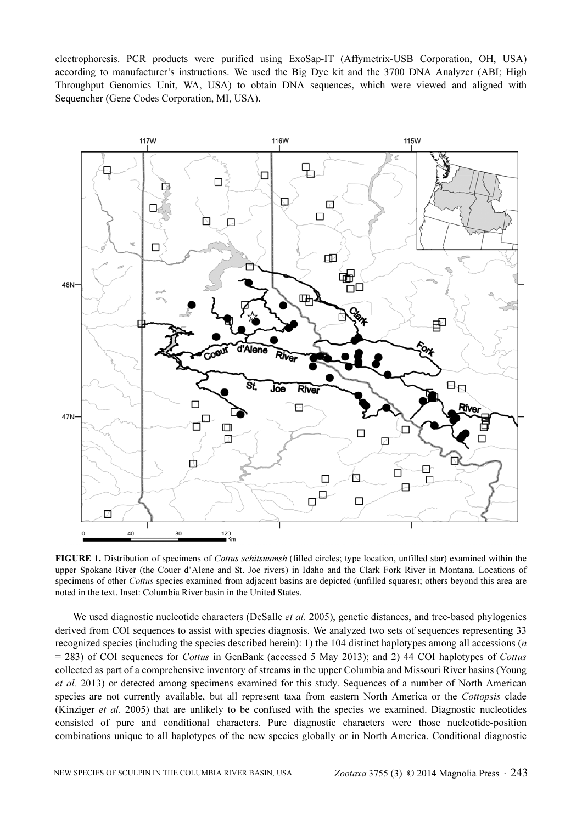electrophoresis. PCR products were purified using ExoSap-IT (Affymetrix-USB Corporation, OH, USA) according to manufacturer's instructions. We used the Big Dye kit and the 3700 DNA Analyzer (ABI; High Throughput Genomics Unit, WA, USA) to obtain DNA sequences, which were viewed and aligned with Sequencher (Gene Codes Corporation, MI, USA).



FIGURE 1. Distribution of specimens of *Cottus schitsuumsh* (filled circles; type location, unfilled star) examined within the upper Spokane River (the Couer d'Alene and St. Joe rivers) in Idaho and the Clark Fork River in Montana. Locations of specimens of other Cottus species examined from adjacent basins are depicted (unfilled squares); others beyond this area are noted in the text. Inset: Columbia River basin in the United States.

We used diagnostic nucleotide characters (DeSalle *et al.* 2005), genetic distances, and tree-based phylogenies derived from COI sequences to assist with species diagnosis. We analyzed two sets of sequences representing 33 recognized species (including the species described herein): 1) the 104 distinct haplotypes among all accessions  $(n \cdot n)$ = 283) of COI sequences for Cottus in GenBank (accessed 5 May 2013); and 2) 44 COI haplotypes of Cottus collected as part of a comprehensive inventory of streams in the upper Columbia and Missouri River basins (Young et al. 2013) or detected among specimens examined for this study. Sequences of a number of North American species are not currently available, but all represent taxa from eastern North America or the Cottopsis clade (Kinziger et al. 2005) that are unlikely to be confused with the species we examined. Diagnostic nucleotides consisted of pure and conditional characters. Pure diagnostic characters were those nucleotide-position combinations unique to all haplotypes of the new species globally or in North America. Conditional diagnostic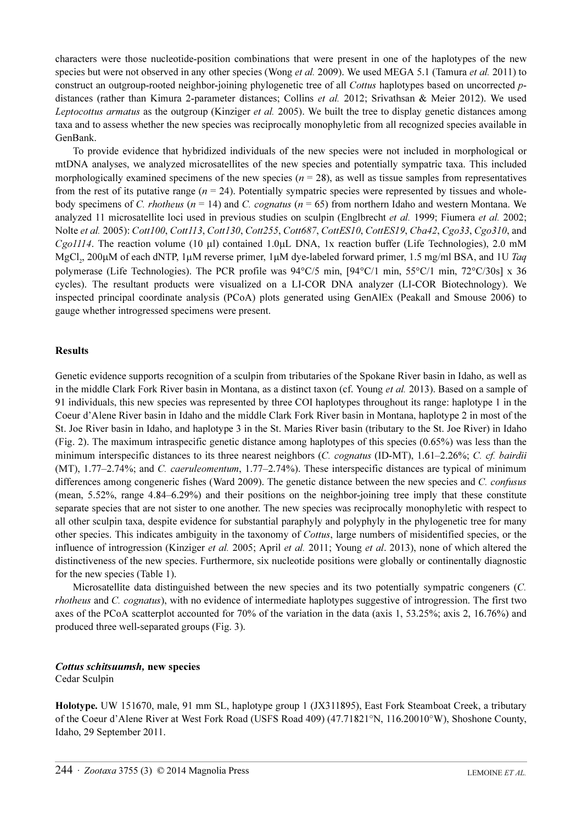characters were those nucleotide-position combinations that were present in one of the haplotypes of the new species but were not observed in any other species (Wong *et al.* 2009). We used MEGA 5.1 (Tamura *et al.* 2011) to construct an outgroup-rooted neighbor-joining phylogenetic tree of all Cottus haplotypes based on uncorrected pdistances (rather than Kimura 2-parameter distances; Collins et al. 2012; Srivathsan & Meier 2012). We used Leptocottus armatus as the outgroup (Kinziger et al. 2005). We built the tree to display genetic distances among taxa and to assess whether the new species was reciprocally monophyletic from all recognized species available in GenBank.

To provide evidence that hybridized individuals of the new species were not included in morphological or mtDNA analyses, we analyzed microsatellites of the new species and potentially sympatric taxa. This included morphologically examined specimens of the new species ( $n = 28$ ), as well as tissue samples from representatives from the rest of its putative range ( $n = 24$ ). Potentially sympatric species were represented by tissues and wholebody specimens of C. rhotheus ( $n = 14$ ) and C. cognatus ( $n = 65$ ) from northern Idaho and western Montana. We analyzed 11 microsatellite loci used in previous studies on sculpin (Englbrecht et al. 1999; Fiumera et al. 2002; Nolte et al. 2005): Cott100, Cott113, Cott130, Cott255, Cott687, CottES10, CottES19, Cba42, Cgo33, Cgo310, and Cgo1114. The reaction volume (10 µl) contained 1.0µL DNA, 1x reaction buffer (Life Technologies), 2.0 mM MgCl<sub>3</sub>, 200 $\mu$ M of each dNTP, 1 $\mu$ M reverse primer, 1 $\mu$ M dye-labeled forward primer, 1.5 mg/ml BSA, and 1U Taq polymerase (Life Technologies). The PCR profile was 94°C/5 min, [94°C/1 min, 55°C/1 min, 72°C/30s] x 36 cycles). The resultant products were visualized on a LI-COR DNA analyzer (LI-COR Biotechnology). We inspected principal coordinate analysis (PCoA) plots generated using GenAlEx (Peakall and Smouse 2006) to gauge whether introgressed specimens were present.

## Results

Genetic evidence supports recognition of a sculpin from tributaries of the Spokane River basin in Idaho, as well as in the middle Clark Fork River basin in Montana, as a distinct taxon (cf. Young et al. 2013). Based on a sample of 91 individuals, this new species was represented by three COI haplotypes throughout its range: haplotype 1 in the Coeur d'Alene River basin in Idaho and the middle Clark Fork River basin in Montana, haplotype 2 in most of the St. Joe River basin in Idaho, and haplotype 3 in the St. Maries River basin (tributary to the St. Joe River) in Idaho (Fig. 2). The maximum intraspecific genetic distance among haplotypes of this species (0.65%) was less than the minimum interspecific distances to its three nearest neighbors (C. cognatus (ID-MT), 1.61–2.26%; C. cf. bairdii (MT), 1.77–2.74%; and C. caeruleomentum, 1.77–2.74%). These interspecific distances are typical of minimum differences among congeneric fishes (Ward 2009). The genetic distance between the new species and C. confusus (mean, 5.52%, range 4.84–6.29%) and their positions on the neighbor-joining tree imply that these constitute separate species that are not sister to one another. The new species was reciprocally monophyletic with respect to all other sculpin taxa, despite evidence for substantial paraphyly and polyphyly in the phylogenetic tree for many other species. This indicates ambiguity in the taxonomy of *Cottus*, large numbers of misidentified species, or the influence of introgression (Kinziger et al. 2005; April et al. 2011; Young et al. 2013), none of which altered the distinctiveness of the new species. Furthermore, six nucleotide positions were globally or continentally diagnostic for the new species (Table 1).

Microsatellite data distinguished between the new species and its two potentially sympatric congeners (C. rhotheus and C. cognatus), with no evidence of intermediate haplotypes suggestive of introgression. The first two axes of the PCoA scatterplot accounted for 70% of the variation in the data (axis 1, 53.25%; axis 2, 16.76%) and produced three well-separated groups (Fig. 3).

## Cottus schitsuumsh, new species

Cedar Sculpin

Holotype. UW 151670, male, 91 mm SL, haplotype group 1 (JX311895), East Fork Steamboat Creek, a tributary of the Coeur d'Alene River at West Fork Road (USFS Road 409) (47.71821°N, 116.20010°W), Shoshone County, Idaho, 29 September 2011.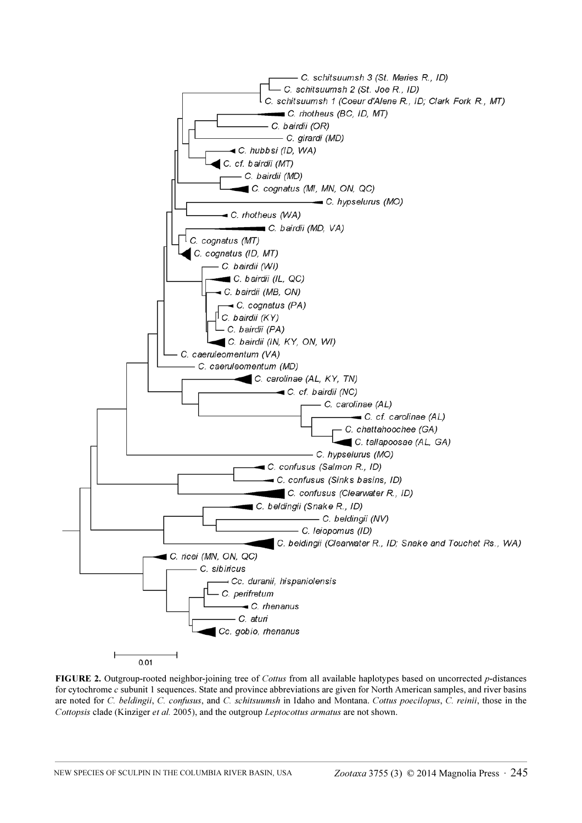

FIGURE 2. Outgroup-rooted neighbor-joining tree of Cottus from all available haplotypes based on uncorrected p-distances for cytochrome c subunit 1 sequences. State and province abbreviations are given for North American samples, and river basins are noted for C. beldingii, C. confusus, and C. schitsuumsh in Idaho and Montana. Cottus poecilopus, C. reinii, those in the Cottopsis clade (Kinziger et al. 2005), and the outgroup Leptocottus armatus are not shown.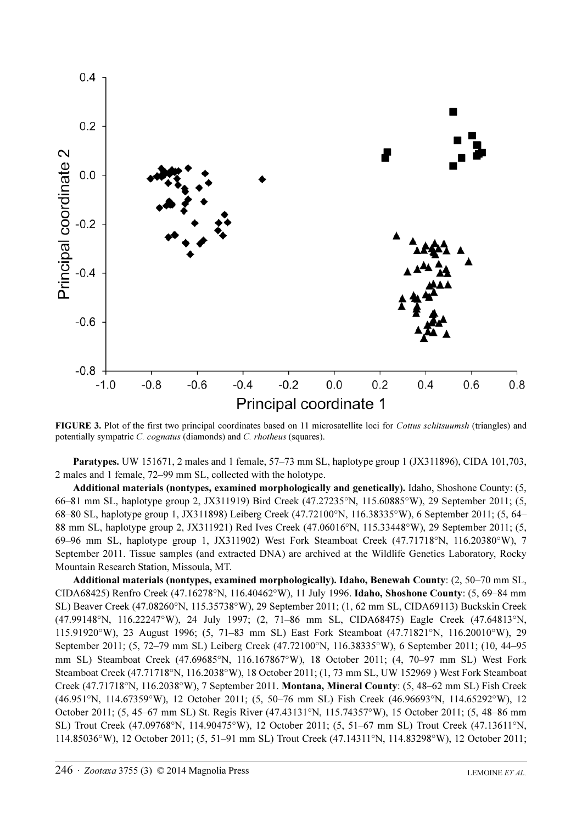

FIGURE 3. Plot of the first two principal coordinates based on 11 microsatellite loci for *Cottus schitsuumsh* (triangles) and potentially sympatric C. cognatus (diamonds) and C. rhotheus (squares).

Paratypes. UW 151671, 2 males and 1 female, 57–73 mm SL, haplotype group 1 (JX311896), CIDA 101,703, 2 males and 1 female, 72–99 mm SL, collected with the holotype.

Additional materials (nontypes, examined morphologically and genetically). Idaho, Shoshone County: (5, 66–81 mm SL, haplotype group 2, JX311919) Bird Creek (47.27235°N, 115.60885°W), 29 September 2011; (5, 68–80 SL, haplotype group 1, JX311898) Leiberg Creek (47.72100°N, 116.38335°W), 6 September 2011; (5, 64– 88 mm SL, haplotype group 2, JX311921) Red Ives Creek (47.06016°N, 115.33448°W), 29 September 2011; (5, 69–96 mm SL, haplotype group 1, JX311902) West Fork Steamboat Creek (47.71718°N, 116.20380°W), 7 September 2011. Tissue samples (and extracted DNA) are archived at the Wildlife Genetics Laboratory, Rocky Mountain Research Station, Missoula, MT.

Additional materials (nontypes, examined morphologically). Idaho, Benewah County: (2, 50–70 mm SL, CIDA68425) Renfro Creek (47.16278°N, 116.40462°W), 11 July 1996. Idaho, Shoshone County: (5, 69–84 mm SL) Beaver Creek (47.08260°N, 115.35738°W), 29 September 2011; (1, 62 mm SL, CIDA69113) Buckskin Creek (47.99148°N, 116.22247°W), 24 July 1997; (2, 71–86 mm SL, CIDA68475) Eagle Creek (47.64813°N, 115.91920°W), 23 August 1996; (5, 71–83 mm SL) East Fork Steamboat (47.71821°N, 116.20010°W), 29 September 2011; (5, 72–79 mm SL) Leiberg Creek (47.72100°N, 116.38335°W), 6 September 2011; (10, 44–95 mm SL) Steamboat Creek (47.69685°N, 116.167867°W), 18 October 2011; (4, 70–97 mm SL) West Fork Steamboat Creek (47.71718°N, 116.2038°W), 18 October 2011; (1, 73 mm SL, UW 152969 ) West Fork Steamboat Creek (47.71718°N, 116.2038°W), 7 September 2011. Montana, Mineral County: (5, 48–62 mm SL) Fish Creek (46.951°N, 114.67359°W), 12 October 2011; (5, 50–76 mm SL) Fish Creek (46.96693°N, 114.65292°W), 12 October 2011; (5, 45–67 mm SL) St. Regis River (47.43131°N, 115.74357°W), 15 October 2011; (5, 48–86 mm SL) Trout Creek (47.09768°N, 114.90475°W), 12 October 2011; (5, 51–67 mm SL) Trout Creek (47.13611°N, 114.85036°W), 12 October 2011; (5, 51–91 mm SL) Trout Creek (47.14311°N, 114.83298°W), 12 October 2011;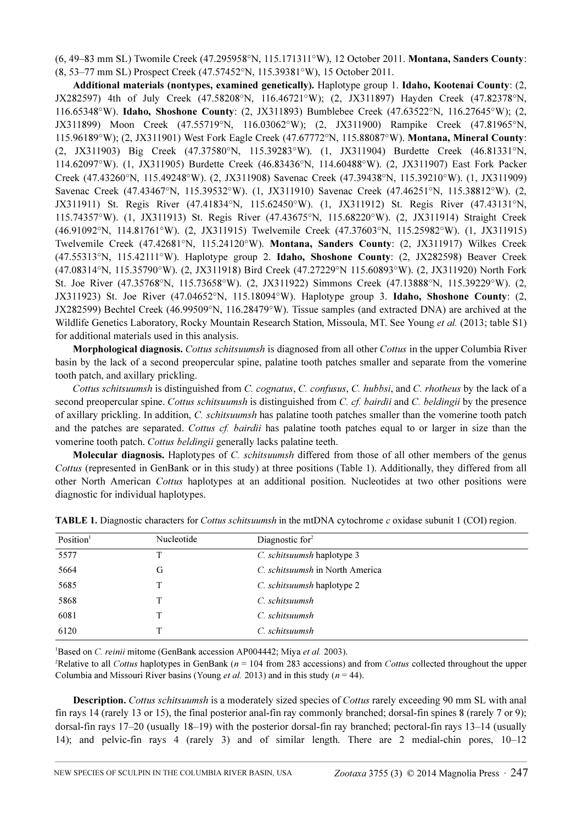(6, 49–83 mm SL) Twomile Creek (47.295958°N, 115.171311°W), 12 October 2011. Montana, Sanders County: (8, 53–77 mm SL) Prospect Creek (47.57452°N, 115.39381°W), 15 October 2011.

Additional materials (nontypes, examined genetically). Haplotype group 1. Idaho, Kootenai County: (2, JX282597) 4th of July Creek (47.58208°N, 116.46721°W); (2, JX311897) Hayden Creek (47.82378°N, 116.65348°W). Idaho, Shoshone County: (2, JX311893) Bumblebee Creek (47.63522°N, 116.27645°W); (2, JX311899) Moon Creek (47.55719°N, 116.03062°W); (2, JX311900) Rampike Creek (47.81965°N, 115.96189°W); (2, JX311901) West Fork Eagle Creek (47.67772°N, 115.88087°W). Montana, Mineral County: (2, JX311903) Big Creek (47.37580°N, 115.39283°W). (1, JX311904) Burdette Creek (46.81331°N, 114.62097°W). (1, JX311905) Burdette Creek (46.83436°N, 114.60488°W). (2, JX311907) East Fork Packer Creek (47.43260°N, 115.49248°W). (2, JX311908) Savenac Creek (47.39438°N, 115.39210°W). (1, JX311909) Savenac Creek (47.43467°N, 115.39532°W). (1, JX311910) Savenac Creek (47.46251°N, 115.38812°W). (2, JX311911) St. Regis River (47.41834°N, 115.62450°W). (1, JX311912) St. Regis River (47.43131°N, 115.74357°W). (1, JX311913) St. Regis River (47.43675°N, 115.68220°W). (2, JX311914) Straight Creek (46.91092°N, 114.81761°W). (2, JX311915) Twelvemile Creek (47.37603°N, 115.25982°W). (1, JX311915) Twelvemile Creek (47.42681°N, 115.24120°W). Montana, Sanders County: (2, JX311917) Wilkes Creek (47.55313°N, 115.42111°W). Haplotype group 2. Idaho, Shoshone County: (2, JX282598) Beaver Creek (47.08314°N, 115.35790°W). (2, JX311918) Bird Creek (47.27229°N 115.60893°W). (2, JX311920) North Fork St. Joe River (47.35768°N, 115.73658°W). (2, JX311922) Simmons Creek (47.13888°N, 115.39229°W). (2, JX311923) St. Joe River (47.04652°N, 115.18094°W). Haplotype group 3. Idaho, Shoshone County: (2, JX282599) Bechtel Creek (46.99509°N, 116.28479°W). Tissue samples (and extracted DNA) are archived at the Wildlife Genetics Laboratory, Rocky Mountain Research Station, Missoula, MT. See Young et al. (2013; table S1) for additional materials used in this analysis.

Morphological diagnosis. Cottus schitsuumsh is diagnosed from all other Cottus in the upper Columbia River basin by the lack of a second preopercular spine, palatine tooth patches smaller and separate from the vomerine tooth patch, and axillary prickling.

Cottus schitsuumsh is distinguished from C. cognatus, C. confusus, C. hubbsi, and C. rhotheus by the lack of a second preopercular spine. Cottus schitsuumsh is distinguished from C. cf. bairdii and C. beldingii by the presence of axillary prickling. In addition, C. schitsuumsh has palatine tooth patches smaller than the vomerine tooth patch and the patches are separated. Cottus cf. bairdii has palatine tooth patches equal to or larger in size than the vomerine tooth patch. Cottus beldingii generally lacks palatine teeth.

Molecular diagnosis. Haplotypes of C. schitsuumsh differed from those of all other members of the genus Cottus (represented in GenBank or in this study) at three positions (Table 1). Additionally, they differed from all other North American Cottus haplotypes at an additional position. Nucleotides at two other positions were diagnostic for individual haplotypes.

| Position <sup>1</sup> | Nucleotide | Diagnostic for $2$              |
|-----------------------|------------|---------------------------------|
| 5577                  | T          | C. schitsuumsh haplotype 3      |
| 5664                  | G          | C. schitsuumsh in North America |
| 5685                  |            | C. schitsuumsh haplotype 2      |
| 5868                  |            | C. schitsuumsh                  |
| 6081                  |            | C. schitsuumsh                  |
| 6120                  | т          | C. schitsuumsh                  |

| TABLE 1. Diagnostic characters for Cottus schitsuumsh in the mtDNA cytochrome c oxidase subunit 1 (COI) region. |  |  |  |  |
|-----------------------------------------------------------------------------------------------------------------|--|--|--|--|
|                                                                                                                 |  |  |  |  |

<sup>1</sup>Based on *C. reinii* mitome (GenBank accession AP004442; Miya et al. 2003).

<sup>2</sup>Relative to all *Cottus* haplotypes in GenBank ( $n = 104$  from 283 accessions) and from *Cottus* collected throughout the upper Columbia and Missouri River basins (Young *et al.* 2013) and in this study ( $n = 44$ ).

Description. Cottus schitsuumsh is a moderately sized species of Cottus rarely exceeding 90 mm SL with anal fin rays 14 (rarely 13 or 15), the final posterior anal-fin ray commonly branched; dorsal-fin spines 8 (rarely 7 or 9); dorsal-fin rays 17–20 (usually 18–19) with the posterior dorsal-fin ray branched; pectoral-fin rays 13–14 (usually 14); and pelvic-fin rays 4 (rarely 3) and of similar length. There are 2 medial-chin pores, 10–12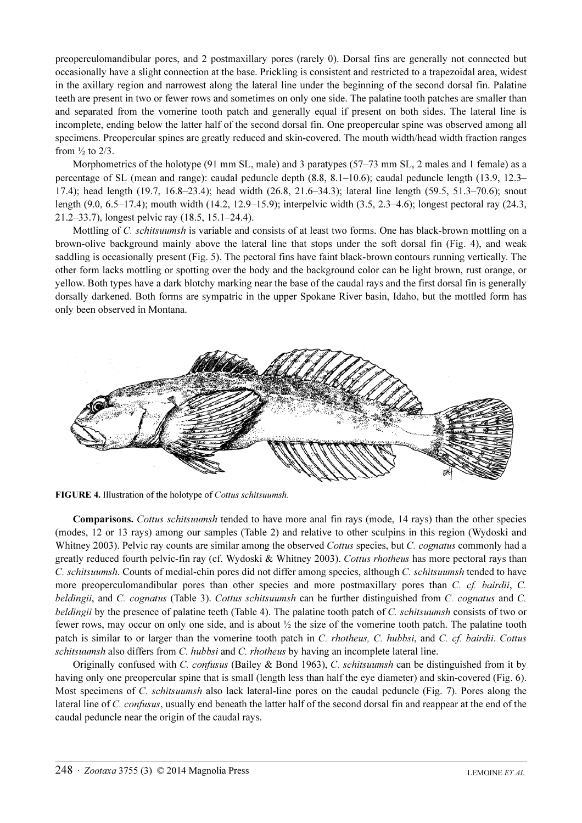preoperculomandibular pores, and 2 postmaxillary pores (rarely 0). Dorsal fins are generally not connected but occasionally have a slight connection at the base. Prickling is consistent and restricted to a trapezoidal area, widest in the axillary region and narrowest along the lateral line under the beginning of the second dorsal fin. Palatine teeth are present in two or fewer rows and sometimes on only one side. The palatine tooth patches are smaller than and separated from the vomerine tooth patch and generally equal if present on both sides. The lateral line is incomplete, ending below the latter half of the second dorsal fin. One preopercular spine was observed among all specimens. Preopercular spines are greatly reduced and skin-covered. The mouth width/head width fraction ranges from  $\frac{1}{2}$  to 2/3.

Morphometrics of the holotype (91 mm SL, male) and 3 paratypes (57–73 mm SL, 2 males and 1 female) as a percentage of SL (mean and range): caudal peduncle depth (8.8, 8.1–10.6); caudal peduncle length (13.9, 12.3– 17.4); head length (19.7, 16.8–23.4); head width (26.8, 21.6–34.3); lateral line length (59.5, 51.3–70.6); snout length (9.0, 6.5–17.4); mouth width (14.2, 12.9–15.9); interpelvic width (3.5, 2.3–4.6); longest pectoral ray (24.3, 21.2–33.7), longest pelvic ray (18.5, 15.1–24.4).

Mottling of C. schitsuumsh is variable and consists of at least two forms. One has black-brown mottling on a brown-olive background mainly above the lateral line that stops under the soft dorsal fin (Fig. 4), and weak saddling is occasionally present (Fig. 5). The pectoral fins have faint black-brown contours running vertically. The other form lacks mottling or spotting over the body and the background color can be light brown, rust orange, or yellow. Both types have a dark blotchy marking near the base of the caudal rays and the first dorsal fin is generally dorsally darkened. Both forms are sympatric in the upper Spokane River basin, Idaho, but the mottled form has only been observed in Montana.



FIGURE 4. Illustration of the holotype of Cottus schitsuumsh.

Comparisons. Cottus schitsuumsh tended to have more anal fin rays (mode, 14 rays) than the other species (modes, 12 or 13 rays) among our samples (Table 2) and relative to other sculpins in this region (Wydoski and Whitney 2003). Pelvic ray counts are similar among the observed Cottus species, but C. cognatus commonly had a greatly reduced fourth pelvic-fin ray (cf. Wydoski & Whitney 2003). Cottus rhotheus has more pectoral rays than C. schitsuumsh. Counts of medial-chin pores did not differ among species, although C. schitsuumsh tended to have more preoperculomandibular pores than other species and more postmaxillary pores than C. cf. bairdii, C. beldingii, and C. cognatus (Table 3). Cottus schitsuumsh can be further distinguished from C. cognatus and C. beldingii by the presence of palatine teeth (Table 4). The palatine tooth patch of C. schitsuumsh consists of two or fewer rows, may occur on only one side, and is about ½ the size of the vomerine tooth patch. The palatine tooth patch is similar to or larger than the vomerine tooth patch in C. rhotheus, C. hubbsi, and C. cf. bairdii. Cottus schitsuumsh also differs from  $C$ . hubbsi and  $C$ . rhotheus by having an incomplete lateral line.

Originally confused with C. confusus (Bailey & Bond 1963), C. schitsuumsh can be distinguished from it by having only one preopercular spine that is small (length less than half the eye diameter) and skin-covered (Fig. 6). Most specimens of C. *schitsuumsh* also lack lateral-line pores on the caudal peduncle (Fig. 7). Pores along the lateral line of C. confusus, usually end beneath the latter half of the second dorsal fin and reappear at the end of the caudal peduncle near the origin of the caudal rays.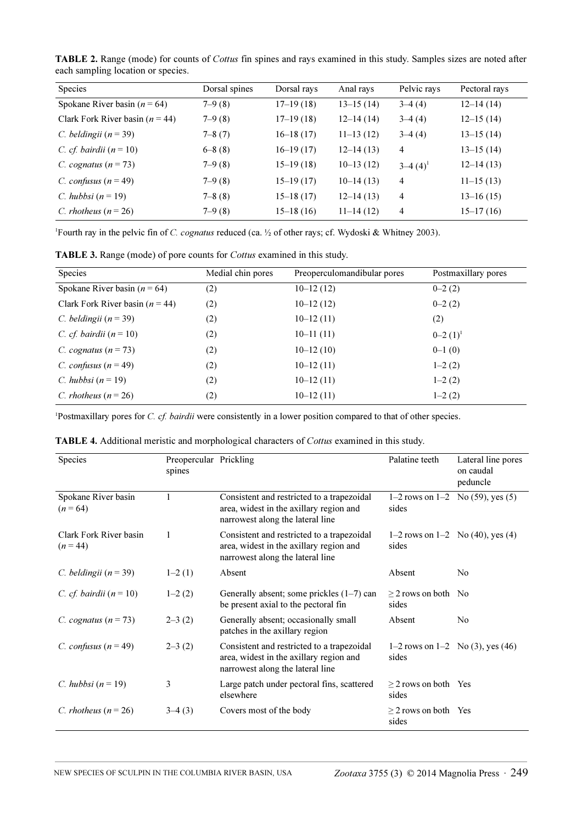TABLE 2. Range (mode) for counts of Cottus fin spines and rays examined in this study. Samples sizes are noted after each sampling location or species.

| <b>Species</b>                      | Dorsal spines | Dorsal rays | Anal rays   | Pelvic rays    | Pectoral rays |
|-------------------------------------|---------------|-------------|-------------|----------------|---------------|
| Spokane River basin ( $n = 64$ )    | $7-9(8)$      | $17-19(18)$ | $13-15(14)$ | $3-4(4)$       | $12-14(14)$   |
| Clark Fork River basin ( $n = 44$ ) | $7 - 9(8)$    | $17-19(18)$ | $12-14(14)$ | $3-4(4)$       | $12-15(14)$   |
| C. beldingii ( $n = 39$ )           | $7 - 8(7)$    | $16-18(17)$ | $11-13(12)$ | $3-4(4)$       | $13-15(14)$   |
| C. cf. bairdii $(n=10)$             | $6 - 8(8)$    | $16-19(17)$ | $12-14(13)$ | 4              | $13-15(14)$   |
| C. cognatus $(n=73)$                | $7 - 9(8)$    | $15-19(18)$ | $10-13(12)$ | $3-4(4)^1$     | $12-14(13)$   |
| C. confusus $(n = 49)$              | $7 - 9(8)$    | $15-19(17)$ | $10-14(13)$ | $\overline{4}$ | $11-15(13)$   |
| C. hubbsi $(n=19)$                  | $7 - 8(8)$    | $15-18(17)$ | $12-14(13)$ | $\overline{4}$ | $13-16(15)$   |
| C. rhotheus ( $n = 26$ )            | $7 - 9(8)$    | $15-18(16)$ | $11-14(12)$ | 4              | $15-17(16)$   |

<sup>1</sup>Fourth ray in the pelvic fin of *C. cognatus* reduced (ca. 1/2 of other rays; cf. Wydoski & Whitney 2003).

TABLE 3. Range (mode) of pore counts for Cottus examined in this study.

| <b>Species</b>                      | Medial chin pores | Preoperculomandibular pores | Postmaxillary pores |
|-------------------------------------|-------------------|-----------------------------|---------------------|
| Spokane River basin ( $n = 64$ )    | (2)               | $10-12(12)$                 | $0 - 2(2)$          |
| Clark Fork River basin ( $n = 44$ ) | (2)               | $10-12(12)$                 | $0-2(2)$            |
| C. beldingii ( $n = 39$ )           | (2)               | $10-12(11)$                 | (2)                 |
| C. cf. bairdii $(n=10)$             | (2)               | $10-11(11)$                 | $0-2(1)^1$          |
| C. cognatus $(n=73)$                | (2)               | $10-12(10)$                 | $0-1(0)$            |
| C. confusus $(n = 49)$              | (2)               | $10-12(11)$                 | $1-2(2)$            |
| C. hubbsi $(n=19)$                  | (2)               | $10-12(11)$                 | $1-2(2)$            |
| C. rhotheus ( $n = 26$ )            | (2)               | $10-12(11)$                 | $1-2(2)$            |

<sup>1</sup>Postmaxillary pores for C. cf. bairdii were consistently in a lower position compared to that of other species.

| Species                            | Preopercular Prickling<br>spines |                                                                                                                           | Palatine teeth                                 | Lateral line pores<br>on caudal<br>peduncle |
|------------------------------------|----------------------------------|---------------------------------------------------------------------------------------------------------------------------|------------------------------------------------|---------------------------------------------|
| Spokane River basin<br>$(n = 64)$  |                                  | Consistent and restricted to a trapezoidal<br>area, widest in the axillary region and<br>narrowest along the lateral line | sides                                          | 1–2 rows on 1–2 No $(59)$ , yes $(5)$       |
| Clark Fork River basin<br>$(n=44)$ |                                  | Consistent and restricted to a trapezoidal<br>area, widest in the axillary region and<br>narrowest along the lateral line | 1–2 rows on 1–2 No $(40)$ , yes $(4)$<br>sides |                                             |
| C. beldingii $(n = 39)$            | $1-2(1)$                         | Absent                                                                                                                    | Absent                                         | No                                          |
| C. cf. bairdii $(n=10)$            | $1-2(2)$                         | Generally absent; some prickles $(1-7)$ can<br>be present axial to the pectoral fin                                       | $>$ 2 rows on both No<br>sides                 |                                             |
| C. cognatus $(n = 73)$             | $2 - 3(2)$                       | Generally absent; occasionally small<br>patches in the axillary region                                                    | Absent                                         | No                                          |
| C. confusus $(n = 49)$             | $2 - 3(2)$                       | Consistent and restricted to a trapezoidal<br>area, widest in the axillary region and<br>narrowest along the lateral line | sides                                          | 1–2 rows on 1–2 No $(3)$ , yes $(46)$       |
| C. hubbsi $(n=19)$                 | 3                                | Large patch under pectoral fins, scattered<br>elsewhere                                                                   | $>$ 2 rows on both Yes<br>sides                |                                             |
| C. rhotheus $(n=26)$               | $3-4(3)$                         | Covers most of the body                                                                                                   | $\geq$ 2 rows on both Yes<br>sides             |                                             |

TABLE 4. Additional meristic and morphological characters of Cottus examined in this study.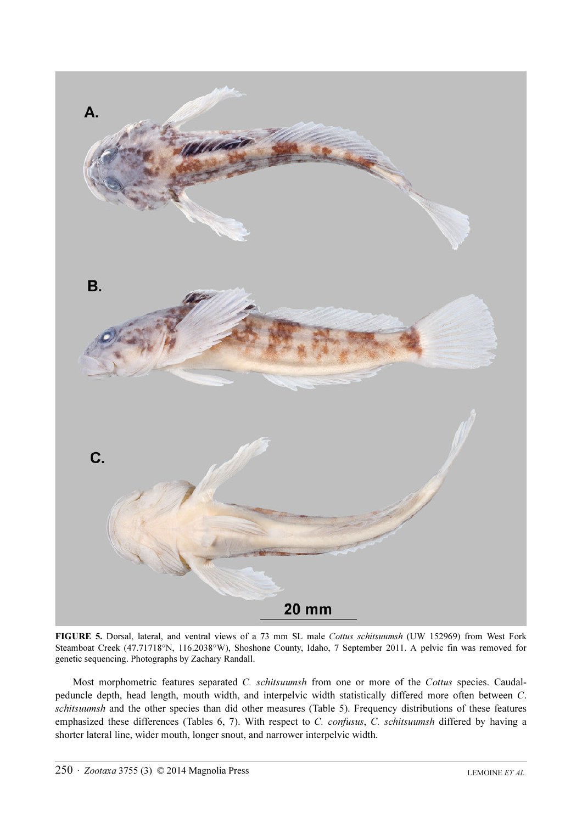

FIGURE 5. Dorsal, lateral, and ventral views of a 73 mm SL male Cottus schitsuumsh (UW 152969) from West Fork Steamboat Creek (47.71718°N, 116.2038°W), Shoshone County, Idaho, 7 September 2011. A pelvic fin was removed for genetic sequencing. Photographs by Zachary Randall.

Most morphometric features separated C. schitsuumsh from one or more of the Cottus species. Caudalpeduncle depth, head length, mouth width, and interpelvic width statistically differed more often between C. schitsuumsh and the other species than did other measures (Table 5). Frequency distributions of these features emphasized these differences (Tables 6, 7). With respect to C. confusus, C. schitsuumsh differed by having a shorter lateral line, wider mouth, longer snout, and narrower interpelvic width.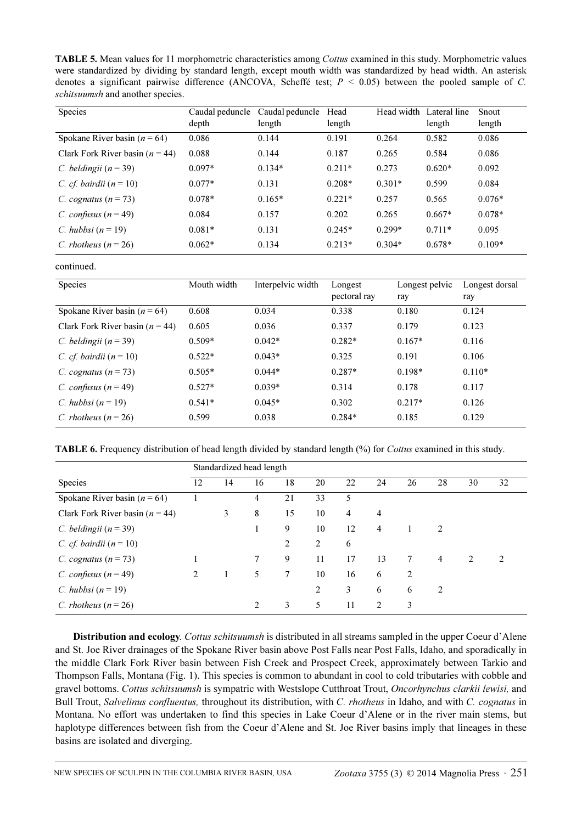TABLE 5. Mean values for 11 morphometric characteristics among Cottus examined in this study. Morphometric values were standardized by dividing by standard length, except mouth width was standardized by head width. An asterisk denotes a significant pairwise difference (ANCOVA, Scheffé test;  $P \le 0.05$ ) between the pooled sample of C. schitsuumsh and another species.

| <b>Species</b>                      | Caudal peduncle<br>depth | Caudal peduncle<br>length | Head<br>length | Head width | Lateral line<br>length | Snout<br>length |
|-------------------------------------|--------------------------|---------------------------|----------------|------------|------------------------|-----------------|
| Spokane River basin ( $n = 64$ )    | 0.086                    | 0.144                     | 0.191          | 0.264      | 0.582                  | 0.086           |
| Clark Fork River basin ( $n = 44$ ) | 0.088                    | 0.144                     | 0.187          | 0.265      | 0.584                  | 0.086           |
| C. beldingii ( $n = 39$ )           | $0.097*$                 | $0.134*$                  | $0.211*$       | 0.273      | $0.620*$               | 0.092           |
| C. cf. bairdii $(n=10)$             | $0.077*$                 | 0.131                     | $0.208*$       | $0.301*$   | 0.599                  | 0.084           |
| C. cognatus $(n=73)$                | $0.078*$                 | $0.165*$                  | $0.221*$       | 0.257      | 0.565                  | $0.076*$        |
| C. confusus $(n = 49)$              | 0.084                    | 0.157                     | 0.202          | 0.265      | $0.667*$               | $0.078*$        |
| C. hubbsi ( $n = 19$ )              | $0.081*$                 | 0.131                     | $0.245*$       | $0.299*$   | $0.711*$               | 0.095           |
| C. rhotheus $(n=26)$                | $0.062*$                 | 0.134                     | $0.213*$       | $0.304*$   | $0.678*$               | $0.109*$        |

continued.

| Species                             | Mouth width | Interpelvic width | Longest<br>pectoral ray | Longest pelvic<br>ray | Longest dorsal<br>ray |
|-------------------------------------|-------------|-------------------|-------------------------|-----------------------|-----------------------|
| Spokane River basin ( $n = 64$ )    | 0.608       | 0.034             | 0.338                   | 0.180                 | 0.124                 |
| Clark Fork River basin ( $n = 44$ ) | 0.605       | 0.036             | 0.337                   | 0.179                 | 0.123                 |
| C. beldingii ( $n = 39$ )           | $0.509*$    | $0.042*$          | $0.282*$                | $0.167*$              | 0.116                 |
| C. cf. bairdii $(n=10)$             | $0.522*$    | $0.043*$          | 0.325                   | 0.191                 | 0.106                 |
| C. cognatus $(n = 73)$              | $0.505*$    | $0.044*$          | $0.287*$                | $0.198*$              | $0.110*$              |
| C. confusus $(n = 49)$              | $0.527*$    | $0.039*$          | 0.314                   | 0.178                 | 0.117                 |
| C. hubbsi $(n=19)$                  | $0.541*$    | $0.045*$          | 0.302                   | $0.217*$              | 0.126                 |
| C. rhotheus $(n=26)$                | 0.599       | 0.038             | $0.284*$                | 0.185                 | 0.129                 |

TABLE 6. Frequency distribution of head length divided by standard length (%) for *Cottus* examined in this study.

|                                     | Standardized head length |    |         |                 |    |    |                |    |    |    |    |
|-------------------------------------|--------------------------|----|---------|-----------------|----|----|----------------|----|----|----|----|
| Species                             | 12                       | 14 | 16      | 18              | 20 | 22 | 24             | 26 | 28 | 30 | 32 |
| Spokane River basin ( $n = 64$ )    |                          |    | 4       | 21              | 33 | 5  |                |    |    |    |    |
| Clark Fork River basin ( $n = 44$ ) |                          | 3  | 8       | 15              | 10 | 4  | $\overline{4}$ |    |    |    |    |
| C. beldingii $(n = 39)$             |                          |    |         | 9               | 10 | 12 | 4              |    | 2  |    |    |
| C. cf. bairdii $(n=10)$             |                          |    |         | 2               | 2  | 6  |                |    |    |    |    |
| C. cognatus $(n = 73)$              |                          |    | 7       | 9               | 11 | 17 | 13             | 7  | 4  | 2  | 2  |
| C. confusus $(n = 49)$              | 2                        |    | 5       | $7\overline{ }$ | 10 | 16 | 6              | 2  |    |    |    |
| C. hubbsi ( $n = 19$ )              |                          |    |         |                 | 2  | 3  | 6              | 6  | 2  |    |    |
| C. rhotheus ( $n = 26$ )            |                          |    | $2^{1}$ | 3               | 5  | 11 | $\mathfrak{D}$ | 3  |    |    |    |

Distribution and ecology. Cottus schitsuumsh is distributed in all streams sampled in the upper Coeur d'Alene and St. Joe River drainages of the Spokane River basin above Post Falls near Post Falls, Idaho, and sporadically in the middle Clark Fork River basin between Fish Creek and Prospect Creek, approximately between Tarkio and Thompson Falls, Montana (Fig. 1). This species is common to abundant in cool to cold tributaries with cobble and gravel bottoms. Cottus schitsuumsh is sympatric with Westslope Cutthroat Trout, Oncorhynchus clarkii lewisi, and Bull Trout, Salvelinus confluentus, throughout its distribution, with C. rhotheus in Idaho, and with C. cognatus in Montana. No effort was undertaken to find this species in Lake Coeur d'Alene or in the river main stems, but haplotype differences between fish from the Coeur d'Alene and St. Joe River basins imply that lineages in these basins are isolated and diverging.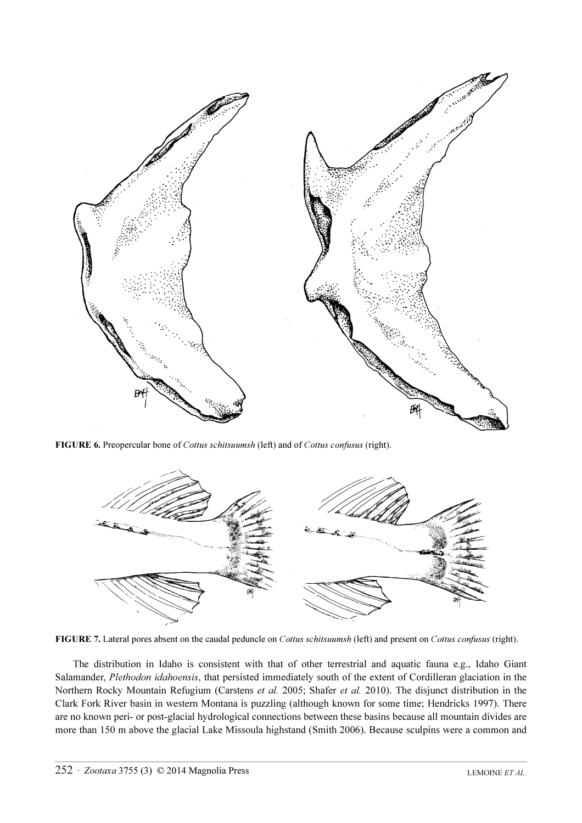

FIGURE 6. Preopercular bone of Cottus schitsuumsh (left) and of Cottus confusus (right).



FIGURE 7. Lateral pores absent on the caudal peduncle on Cottus schitsuumsh (left) and present on Cottus confusus (right).

The distribution in Idaho is consistent with that of other terrestrial and aquatic fauna e.g., Idaho Giant Salamander, Plethodon idahoensis, that persisted immediately south of the extent of Cordilleran glaciation in the Northern Rocky Mountain Refugium (Carstens et al. 2005; Shafer et al. 2010). The disjunct distribution in the Clark Fork River basin in western Montana is puzzling (although known for some time; Hendricks 1997). There are no known peri- or post-glacial hydrological connections between these basins because all mountain divides are more than 150 m above the glacial Lake Missoula highstand (Smith 2006). Because sculpins were a common and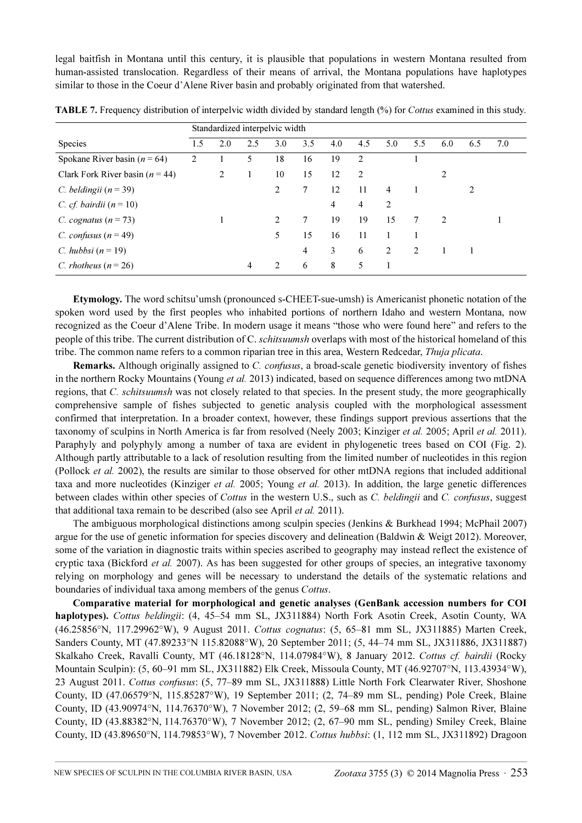legal baitfish in Montana until this century, it is plausible that populations in western Montana resulted from human-assisted translocation. Regardless of their means of arrival, the Montana populations have haplotypes similar to those in the Coeur d'Alene River basin and probably originated from that watershed.

|                                     | Standardized interpelvic width |     |     |                |     |     |                |                |     |               |                |     |
|-------------------------------------|--------------------------------|-----|-----|----------------|-----|-----|----------------|----------------|-----|---------------|----------------|-----|
| <b>Species</b>                      | 1.5                            | 2.0 | 2.5 | 3.0            | 3.5 | 4.0 | 4.5            | 5.0            | 5.5 | 6.0           | 6.5            | 7.0 |
| Spokane River basin ( $n = 64$ )    | 2                              |     | 5   | 18             | 16  | 19  | 2              |                |     |               |                |     |
| Clark Fork River basin ( $n = 44$ ) |                                | 2   |     | 10             | 15  | 12  | 2              |                |     | 2             |                |     |
| C. beldingii $(n = 39)$             |                                |     |     | 2              | 7   | 12  | 11             | $\overline{4}$ |     |               | $\mathfrak{D}$ |     |
| C. cf. bairdii $(n=10)$             |                                |     |     |                |     | 4   | $\overline{4}$ | 2              |     |               |                |     |
| C. cognatus $(n = 73)$              |                                | 1   |     | $\mathfrak{D}$ | 7   | 19  | 19             | 15             | 7   | $\mathcal{L}$ |                |     |
| C. confusus $(n = 49)$              |                                |     |     | 5              | 15  | 16  | 11             |                |     |               |                |     |
| C. hubbsi $(n=19)$                  |                                |     |     |                | 4   | 3   | 6              | 2              | 2   |               |                |     |
| C. rhotheus $(n=26)$                |                                |     | 4   | 2              | 6   | 8   | 5              |                |     |               |                |     |

TABLE 7. Frequency distribution of interpelvic width divided by standard length (%) for Cottus examined in this study.

Etymology. The word schitsu'umsh (pronounced s-CHEET-sue-umsh) is Americanist phonetic notation of the spoken word used by the first peoples who inhabited portions of northern Idaho and western Montana, now recognized as the Coeur d'Alene Tribe. In modern usage it means "those who were found here" and refers to the people of this tribe. The current distribution of C. *schitsuumsh* overlaps with most of the historical homeland of this tribe. The common name refers to a common riparian tree in this area, Western Redcedar, Thuja plicata.

Remarks. Although originally assigned to C. confusus, a broad-scale genetic biodiversity inventory of fishes in the northern Rocky Mountains (Young et al. 2013) indicated, based on sequence differences among two mtDNA regions, that C. *schitsuumsh* was not closely related to that species. In the present study, the more geographically comprehensive sample of fishes subjected to genetic analysis coupled with the morphological assessment confirmed that interpretation. In a broader context, however, these findings support previous assertions that the taxonomy of sculpins in North America is far from resolved (Neely 2003; Kinziger et al. 2005; April et al. 2011). Paraphyly and polyphyly among a number of taxa are evident in phylogenetic trees based on COI (Fig. 2). Although partly attributable to a lack of resolution resulting from the limited number of nucleotides in this region (Pollock et al. 2002), the results are similar to those observed for other mtDNA regions that included additional taxa and more nucleotides (Kinziger et al. 2005; Young et al. 2013). In addition, the large genetic differences between clades within other species of Cottus in the western U.S., such as C. beldingii and C. confusus, suggest that additional taxa remain to be described (also see April et al. 2011).

The ambiguous morphological distinctions among sculpin species (Jenkins & Burkhead 1994; McPhail 2007) argue for the use of genetic information for species discovery and delineation (Baldwin & Weigt 2012). Moreover, some of the variation in diagnostic traits within species ascribed to geography may instead reflect the existence of cryptic taxa (Bickford *et al.* 2007). As has been suggested for other groups of species, an integrative taxonomy relying on morphology and genes will be necessary to understand the details of the systematic relations and boundaries of individual taxa among members of the genus Cottus.

Comparative material for morphological and genetic analyses (GenBank accession numbers for COI haplotypes). Cottus beldingii: (4, 45–54 mm SL, JX311884) North Fork Asotin Creek, Asotin County, WA (46.25856°N, 117.29962°W), 9 August 2011. Cottus cognatus: (5, 65–81 mm SL, JX311885) Marten Creek, Sanders County, MT (47.89233°N 115.82088°W), 20 September 2011; (5, 44–74 mm SL, JX311886, JX311887) Skalkaho Creek, Ravalli County, MT (46.18128°N, 114.07984°W), 8 January 2012. Cottus cf. bairdii (Rocky Mountain Sculpin): (5, 60–91 mm SL, JX311882) Elk Creek, Missoula County, MT (46.92707°N, 113.43934°W), 23 August 2011. Cottus confusus: (5, 77–89 mm SL, JX311888) Little North Fork Clearwater River, Shoshone County, ID (47.06579°N, 115.85287°W), 19 September 2011; (2, 74–89 mm SL, pending) Pole Creek, Blaine County, ID (43.90974°N, 114.76370°W), 7 November 2012; (2, 59–68 mm SL, pending) Salmon River, Blaine County, ID (43.88382°N, 114.76370°W), 7 November 2012; (2, 67–90 mm SL, pending) Smiley Creek, Blaine County, ID (43.89650°N, 114.79853°W), 7 November 2012. Cottus hubbsi: (1, 112 mm SL, JX311892) Dragoon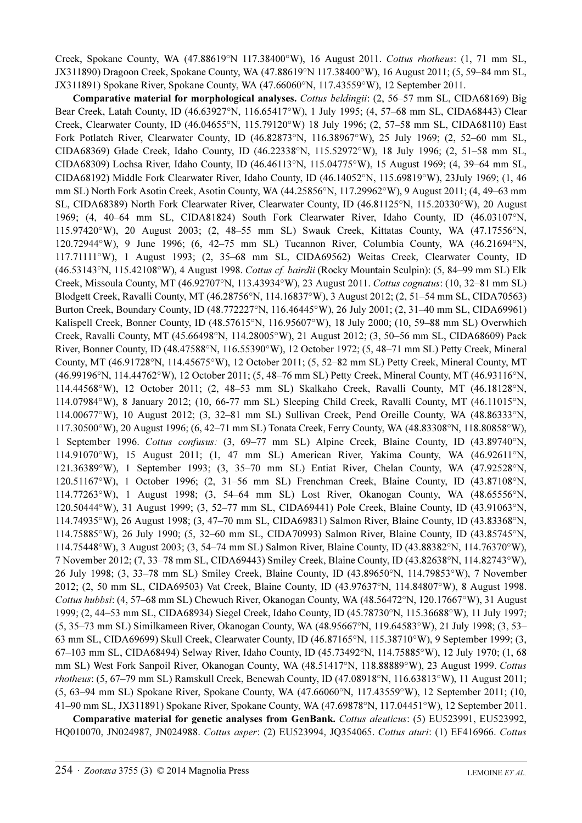Creek, Spokane County, WA (47.88619°N 117.38400°W), 16 August 2011. Cottus rhotheus: (1, 71 mm SL, JX311890) Dragoon Creek, Spokane County, WA (47.88619°N 117.38400°W), 16 August 2011; (5, 59–84 mm SL, JX311891) Spokane River, Spokane County, WA (47.66060°N, 117.43559°W), 12 September 2011.

Comparative material for morphological analyses. Cottus beldingii: (2, 56–57 mm SL, CIDA68169) Big Bear Creek, Latah County, ID (46.63927°N, 116.65417°W), 1 July 1995; (4, 57–68 mm SL, CIDA68443) Clear Creek, Clearwater County, ID (46.04655°N, 115.79120°W) 18 July 1996; (2, 57–58 mm SL, CIDA68110) East Fork Potlatch River, Clearwater County, ID (46.82873°N, 116.38967°W), 25 July 1969; (2, 52–60 mm SL, CIDA68369) Glade Creek, Idaho County, ID (46.22338°N, 115.52972°W), 18 July 1996; (2, 51–58 mm SL, CIDA68309) Lochsa River, Idaho County, ID (46.46113°N, 115.04775°W), 15 August 1969; (4, 39–64 mm SL, CIDA68192) Middle Fork Clearwater River, Idaho County, ID (46.14052°N, 115.69819°W), 23July 1969; (1, 46 mm SL) North Fork Asotin Creek, Asotin County, WA (44.25856°N, 117.29962°W), 9 August 2011; (4, 49–63 mm SL, CIDA68389) North Fork Clearwater River, Clearwater County, ID (46.81125°N, 115.20330°W), 20 August 1969; (4, 40–64 mm SL, CIDA81824) South Fork Clearwater River, Idaho County, ID (46.03107°N, 115.97420°W), 20 August 2003; (2, 48–55 mm SL) Swauk Creek, Kittatas County, WA (47.17556°N, 120.72944°W), 9 June 1996; (6, 42–75 mm SL) Tucannon River, Columbia County, WA (46.21694°N, 117.71111°W), 1 August 1993; (2, 35–68 mm SL, CIDA69562) Weitas Creek, Clearwater County, ID (46.53143°N, 115.42108°W), 4 August 1998. Cottus cf. bairdii (Rocky Mountain Sculpin): (5, 84–99 mm SL) Elk Creek, Missoula County, MT (46.92707°N, 113.43934°W), 23 August 2011. Cottus cognatus: (10, 32–81 mm SL) Blodgett Creek, Ravalli County, MT (46.28756°N, 114.16837°W), 3 August 2012; (2, 51–54 mm SL, CIDA70563) Burton Creek, Boundary County, ID (48.772227°N, 116.46445°W), 26 July 2001; (2, 31–40 mm SL, CIDA69961) Kalispell Creek, Bonner County, ID (48.57615°N, 116.95607°W), 18 July 2000; (10, 59–88 mm SL) Overwhich Creek, Ravalli County, MT (45.66498°N, 114.28005°W), 21 August 2012; (3, 50–56 mm SL, CIDA68609) Pack River, Bonner County, ID (48.47588°N, 116.55390°W), 12 October 1972; (5, 48–71 mm SL) Petty Creek, Mineral County, MT (46.91728°N, 114.45675°W), 12 October 2011; (5, 52–82 mm SL) Petty Creek, Mineral County, MT (46.99196°N, 114.44762°W), 12 October 2011; (5, 48–76 mm SL) Petty Creek, Mineral County, MT (46.93116°N, 114.44568°W), 12 October 2011; (2, 48–53 mm SL) Skalkaho Creek, Ravalli County, MT (46.18128°N, 114.07984°W), 8 January 2012; (10, 66-77 mm SL) Sleeping Child Creek, Ravalli County, MT (46.11015°N, 114.00677°W), 10 August 2012; (3, 32–81 mm SL) Sullivan Creek, Pend Oreille County, WA (48.86333°N, 117.30500°W), 20 August 1996; (6, 42–71 mm SL) Tonata Creek, Ferry County, WA (48.83308°N, 118.80858°W), 1 September 1996. Cottus confusus: (3, 69–77 mm SL) Alpine Creek, Blaine County, ID (43.89740°N, 114.91070°W), 15 August 2011; (1, 47 mm SL) American River, Yakima County, WA (46.92611°N, 121.36389°W), 1 September 1993; (3, 35–70 mm SL) Entiat River, Chelan County, WA (47.92528°N, 120.51167°W), 1 October 1996; (2, 31–56 mm SL) Frenchman Creek, Blaine County, ID (43.87108°N, 114.77263°W), 1 August 1998; (3, 54–64 mm SL) Lost River, Okanogan County, WA (48.65556°N, 120.50444°W), 31 August 1999; (3, 52–77 mm SL, CIDA69441) Pole Creek, Blaine County, ID (43.91063°N, 114.74935°W), 26 August 1998; (3, 47–70 mm SL, CIDA69831) Salmon River, Blaine County, ID (43.83368°N, 114.75885°W), 26 July 1990; (5, 32–60 mm SL, CIDA70993) Salmon River, Blaine County, ID (43.85745°N, 114.75448°W), 3 August 2003; (3, 54–74 mm SL) Salmon River, Blaine County, ID (43.88382°N, 114.76370°W), 7 November 2012; (7, 33–78 mm SL, CIDA69443) Smiley Creek, Blaine County, ID (43.82638°N, 114.82743°W), 26 July 1998; (3, 33–78 mm SL) Smiley Creek, Blaine County, ID (43.89650°N, 114.79853°W), 7 November 2012; (2, 50 mm SL, CIDA69503) Vat Creek, Blaine County, ID (43.97637°N, 114.84807°W), 8 August 1998. Cottus hubbsi: (4, 57–68 mm SL) Chewuch River, Okanogan County, WA (48.56472°N, 120.17667°W), 31 August 1999; (2, 44–53 mm SL, CIDA68934) Siegel Creek, Idaho County, ID (45.78730°N, 115.36688°W), 11 July 1997; (5, 35–73 mm SL) Similkameen River, Okanogan County, WA (48.95667°N, 119.64583°W), 21 July 1998; (3, 53– 63 mm SL, CIDA69699) Skull Creek, Clearwater County, ID (46.87165°N, 115.38710°W), 9 September 1999; (3, 67–103 mm SL, CIDA68494) Selway River, Idaho County, ID (45.73492°N, 114.75885°W), 12 July 1970; (1, 68 mm SL) West Fork Sanpoil River, Okanogan County, WA (48.51417°N, 118.88889°W), 23 August 1999. Cottus rhotheus: (5, 67–79 mm SL) Ramskull Creek, Benewah County, ID (47.08918°N, 116.63813°W), 11 August 2011; (5, 63–94 mm SL) Spokane River, Spokane County, WA (47.66060°N, 117.43559°W), 12 September 2011; (10, 41–90 mm SL, JX311891) Spokane River, Spokane County, WA (47.69878°N, 117.04451°W), 12 September 2011.

Comparative material for genetic analyses from GenBank. Cottus aleuticus: (5) EU523991, EU523992, HQ010070, JN024987, JN024988. Cottus asper: (2) EU523994, JQ354065. Cottus aturi: (1) EF416966. Cottus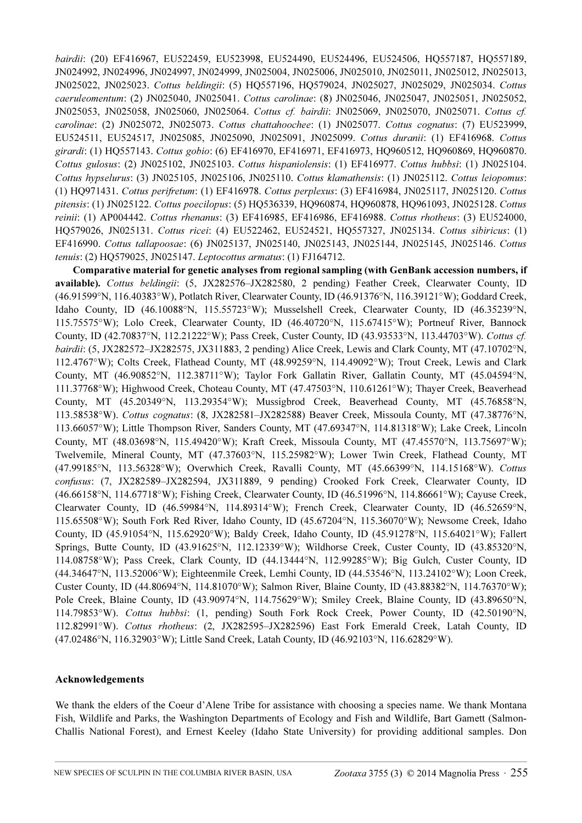bairdii: (20) EF416967, EU522459, EU523998, EU524490, EU524496, EU524506, HQ557187, HQ557189, JN024992, JN024996, JN024997, JN024999, JN025004, JN025006, JN025010, JN025011, JN025012, JN025013, JN025022, JN025023. Cottus beldingii: (5) HQ557196, HQ579024, JN025027, JN025029, JN025034. Cottus caeruleomentum: (2) JN025040, JN025041. Cottus carolinae: (8) JN025046, JN025047, JN025051, JN025052, JN025053, JN025058, JN025060, JN025064. Cottus cf. bairdii: JN025069, JN025070, JN025071. Cottus cf. carolinae: (2) JN025072, JN025073. Cottus chattahoochee: (1) JN025077. Cottus cognatus: (7) EU523999, EU524511, EU524517, JN025085, JN025090, JN025091, JN025099. Cottus duranii: (1) EF416968. Cottus girardi: (1) HQ557143. Cottus gobio: (6) EF416970, EF416971, EF416973, HQ960512, HQ960869, HQ960870. Cottus gulosus: (2) JN025102, JN025103. Cottus hispaniolensis: (1) EF416977. Cottus hubbsi: (1) JN025104. Cottus hypselurus: (3) JN025105, JN025106, JN025110. Cottus klamathensis: (1) JN025112. Cottus leiopomus: (1) HQ971431. Cottus perifretum: (1) EF416978. Cottus perplexus: (3) EF416984, JN025117, JN025120. Cottus pitensis: (1) JN025122. Cottus poecilopus: (5) HQ536339, HQ960874, HQ960878, HQ961093, JN025128. Cottus reinii: (1) AP004442. Cottus rhenanus: (3) EF416985, EF416986, EF416988. Cottus rhotheus: (3) EU524000, HQ579026, JN025131. Cottus ricei: (4) EU522462, EU524521, HQ557327, JN025134. Cottus sibiricus: (1) EF416990. Cottus tallapoosae: (6) JN025137, JN025140, JN025143, JN025144, JN025145, JN025146. Cottus tenuis: (2) HQ579025, JN025147. Leptocottus armatus: (1) FJ164712.

Comparative material for genetic analyses from regional sampling (with GenBank accession numbers, if available). Cottus beldingii: (5, JX282576–JX282580, 2 pending) Feather Creek, Clearwater County, ID (46.91599°N, 116.40383°W), Potlatch River, Clearwater County, ID (46.91376°N, 116.39121°W); Goddard Creek, Idaho County, ID (46.10088°N, 115.55723°W); Musselshell Creek, Clearwater County, ID (46.35239°N, 115.75575°W); Lolo Creek, Clearwater County, ID (46.40720°N, 115.67415°W); Portneuf River, Bannock County, ID (42.70837°N, 112.21222°W); Pass Creek, Custer County, ID (43.93533°N, 113.44703°W). Cottus cf. bairdii: (5, JX282572–JX282575, JX311883, 2 pending) Alice Creek, Lewis and Clark County, MT (47.10702°N, 112.4767°W); Colts Creek, Flathead County, MT (48.99259°N, 114.49092°W); Trout Creek, Lewis and Clark County, MT (46.90852°N, 112.38711°W); Taylor Fork Gallatin River, Gallatin County, MT (45.04594°N, 111.37768°W); Highwood Creek, Choteau County, MT (47.47503°N, 110.61261°W); Thayer Creek, Beaverhead County, MT (45.20349°N, 113.29354°W); Mussigbrod Creek, Beaverhead County, MT (45.76858°N, 113.58538°W). Cottus cognatus: (8, JX282581–JX282588) Beaver Creek, Missoula County, MT (47.38776°N, 113.66057°W); Little Thompson River, Sanders County, MT (47.69347°N, 114.81318°W); Lake Creek, Lincoln County, MT (48.03698°N, 115.49420°W); Kraft Creek, Missoula County, MT (47.45570°N, 113.75697°W); Twelvemile, Mineral County, MT (47.37603°N, 115.25982°W); Lower Twin Creek, Flathead County, MT (47.99185°N, 113.56328°W); Overwhich Creek, Ravalli County, MT (45.66399°N, 114.15168°W). Cottus confusus: (7, JX282589–JX282594, JX311889, 9 pending) Crooked Fork Creek, Clearwater County, ID (46.66158°N, 114.67718°W); Fishing Creek, Clearwater County, ID (46.51996°N, 114.86661°W); Cayuse Creek, Clearwater County, ID (46.59984°N, 114.89314°W); French Creek, Clearwater County, ID (46.52659°N, 115.65508°W); South Fork Red River, Idaho County, ID (45.67204°N, 115.36070°W); Newsome Creek, Idaho County, ID (45.91054°N, 115.62920°W); Baldy Creek, Idaho County, ID (45.91278°N, 115.64021°W); Fallert Springs, Butte County, ID (43.91625°N, 112.12339°W); Wildhorse Creek, Custer County, ID (43.85320°N, 114.08758°W); Pass Creek, Clark County, ID (44.13444°N, 112.99285°W); Big Gulch, Custer County, ID (44.34647°N, 113.52006°W); Eighteenmile Creek, Lemhi County, ID (44.53546°N, 113.24102°W); Loon Creek, Custer County, ID (44.80694°N, 114.81070°W); Salmon River, Blaine County, ID (43.88382°N, 114.76370°W); Pole Creek, Blaine County, ID (43.90974°N, 114.75629°W); Smiley Creek, Blaine County, ID (43.89650°N, 114.79853°W). Cottus hubbsi: (1, pending) South Fork Rock Creek, Power County, ID (42.50190°N, 112.82991°W). Cottus rhotheus: (2, JX282595–JX282596) East Fork Emerald Creek, Latah County, ID (47.02486°N, 116.32903°W); Little Sand Creek, Latah County, ID (46.92103°N, 116.62829°W).

## Acknowledgements

We thank the elders of the Coeur d'Alene Tribe for assistance with choosing a species name. We thank Montana Fish, Wildlife and Parks, the Washington Departments of Ecology and Fish and Wildlife, Bart Gamett (Salmon-Challis National Forest), and Ernest Keeley (Idaho State University) for providing additional samples. Don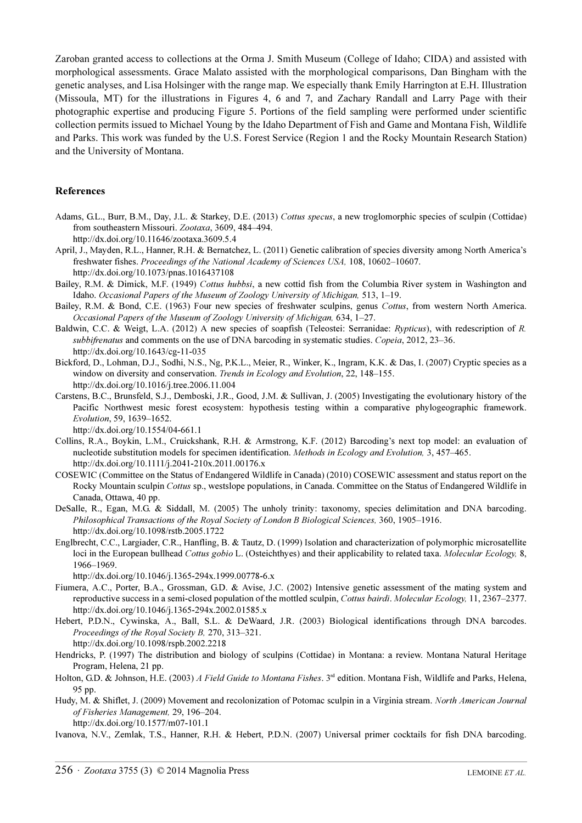Zaroban granted access to collections at the Orma J. Smith Museum (College of Idaho; CIDA) and assisted with morphological assessments. Grace Malato assisted with the morphological comparisons, Dan Bingham with the genetic analyses, and Lisa Holsinger with the range map. We especially thank Emily Harrington at E.H. Illustration (Missoula, MT) for the illustrations in Figures 4, 6 and 7, and Zachary Randall and Larry Page with their photographic expertise and producing Figure 5. Portions of the field sampling were performed under scientific collection permits issued to Michael Young by the Idaho Department of Fish and Game and Montana Fish, Wildlife and Parks. This work was funded by the U.S. Forest Service (Region 1 and the Rocky Mountain Research Station) and the University of Montana.

#### References

Adams, G.L., Burr, B.M., Day, J.L. & Starkey, D.E. (2013) Cottus specus, a new troglomorphic species of sculpin (Cottidae) from southeastern Missouri. Zootaxa[, 3609, 484–494.](http://dx.doi.org/10.11)

[h](http://dx.doi.org/10.11)ttp://dx.doi.org/10.11646/zootaxa.3609.5.4

- April, J., Mayden, R.L., Hanner, R.H. & Bernatchez, L. (2011) Genetic calibration of species diversity among North America's freshwater fishes. Proceedings of the National Academy of Sciences USA, [108, 10602–10607.](http://dx.doi.org/10.1073/pnas.1016437108) [h](http://dx.doi.org/10.1073/pnas.1016437108)ttp://dx.doi.org/10.1073/pnas.1016437108
- Bailey, R.M. & Dimick, M.F. (1949) Cottus hubbsi, a new cottid fish from the Columbia River system in Washington and Idaho. Occasional Papers of the Museum of Zoology University of Michigan, 513, 1–19.
- Bailey, R.M. & Bond, C.E. (1963) Four new species of freshwater sculpins, genus Cottus, from western North America. Occasional Papers of the Museum of Zoology University of Michigan, 634, 1–27.
- Baldwin, C.C. & Weigt, L.A. (2012) A new species of soapfish (Teleostei: Serranidae: Rypticus), with redescription of R. subbifrenatus and comments on the use of DNA barcoding in systematic studies. Copeia, 2012, 23–36. http://dx.doi.org/10.1643/cg-11-035
- Bickford, D., Lohman, D.J., Sodhi, N.S., Ng, P.K.L., Meier, R., Winker, K., Ingram, K.K. & Das, I. (2007) Cryptic species as a window on diversity and conservation. *Trends in Ecology and Evolution*, 22, 148–155. http://dx.doi.org/10.1016/j.tree.2006.11.004
- Carstens, B.C., Brunsfeld, S.J., Demboski, J.R., Good, J.M. & Sullivan, J. (2005) Investigating the evolutionary history of the Pacific Northwest mesic forest ecosystem: hypothesis testing within a comparative phylogeographic framework. Evolution[, 59, 1639–1652.](http://dx.doi.org/10.1554/04-661.1)

[h](http://dx.doi.org/10.1554/04-661.1)ttp://dx.doi.org/10.1554/04-661.1

- Collins, R.A., Boykin, L.M., Cruickshank, R.H. & Armstrong, K.F. (2012) Barcoding's next top model: an evaluation of nucleotide substitution models for specimen identification. Methods in Ecology and Evolution, [3, 457–465.](http://dx.doi.org/10.1111/j.2041-210x.2011.00176.x) [h](http://dx.doi.org/10.1111/j.2041-210x.2011.00176.x)ttp://dx.doi.org/10.1111/j.2041-210x.2011.00176.x
- COSEWIC (Committee on the Status of Endangered Wildlife in Canada) (2010) COSEWIC assessment and status report on the Rocky Mountain sculpin Cottus sp., westslope populations, in Canada. Committee on the Status of Endangered Wildlife in Canada, Ottawa, 40 pp.
- DeSalle, R., Egan, M.G. & Siddall, M. (2005) The unholy trinity: taxonomy, species delimitation and DNA barcoding. Philosophical Transactions of the Royal Society of London B Biological Sciences, [360, 1905–1916.](http://dx.doi.org/10.1098/rstb.2005.1722) [h](http://dx.doi.org/10.1098/rstb.2005.1722)ttp://dx.doi.org/10.1098/rstb.2005.1722
- Englbrecht, C.C., Largiader, C.R., Hanfling, B. & Tautz, D. (1999) Isolation and characterization of polymorphic microsatellite loci in the European bullhead Cottus gobio L. (Osteichthyes) and their applicability to related taxa. Molecular Ecology, [8,](http://dx.doi.org/10.1046/j.1365-294x.1999.00778-6.x) [1966–1969.](http://dx.doi.org/10.1046/j.1365-294x.1999.00778-6.x)

[h](http://dx.doi.org/10.1046/j.1365-294x.1999.00778-6.x)ttp://dx.doi.org/10.1046/j.1365-294x.1999.00778-6.x

- Fiumera, A.C., Porter, B.A., Grossman, G.D. & Avise, J.C. (2002) Intensive genetic assessment of the mating system and reproductive success in a semi-closed population of the mottled sculpin, Cottus bairdi. Molecular Ecology, [11, 2367–2377.](http://dx.doi.org/10.1046/j.1365-294x.2002.01585.x) [h](http://dx.doi.org/10.1046/j.1365-294x.2002.01585.x)ttp://dx.doi.org/10.1046/j.1365-294x.2002.01585.x
- Hebert, P.D.N., Cywinska, A., Ball, S.L. & DeWaard, J.R. (2003) Biological identifications through DNA barcodes. Proceedings of the Royal Society B, [270, 313–321.](http://dx.doi.org/10.1098/rspb.2002.221) [h](http://dx.doi.org/10.1098/rspb.2002.221)ttp://dx.doi.org/10.1098/rspb.2002.2218
- Hendricks, P. (1997) The distribution and biology of sculpins (Cottidae) in Montana: a review. Montana Natural Heritage Program, Helena, 21 pp.
- Holton, G.D. & Johnson, H.E. (2003) A Field Guide to Montana Fishes. 3<sup>rd</sup> edition. Montana Fish, Wildlife and Parks, Helena, 95 pp.
- Hudy, M. & Shiflet, J. (2009) Movement and recolonization of Potomac sculpin in a Virginia stream. North American Journal of Fisheries Management, [29, 196–204.](http://dx.) [h](http://dx.)ttp://dx.doi.org/10.1577/m07-101.1

Ivanova, N.V., Zemlak, T.S., Hanner, R.H. & Hebert, P.D.N. (2007) Universal primer cocktails for fish DNA barcoding.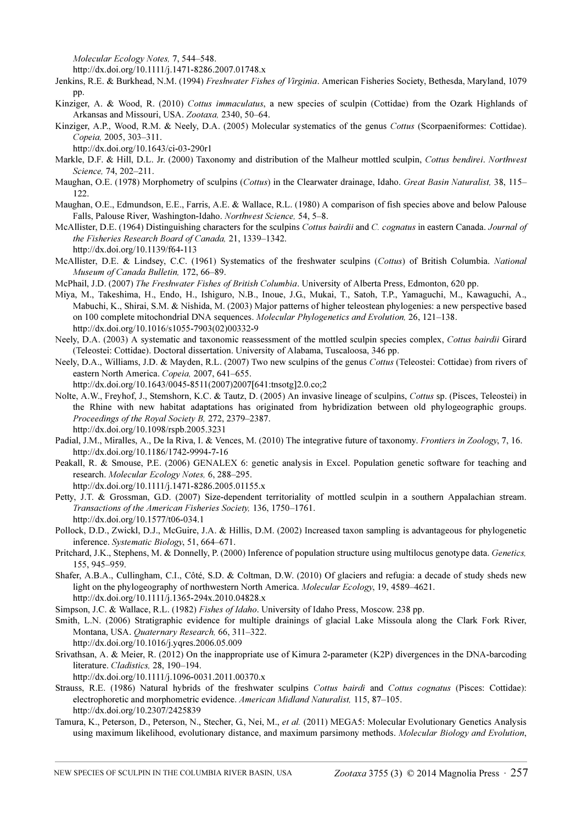Molecular Ecology Notes, [7, 544–548.](http://dx.doi.or)

[h](http://dx.doi.or)ttp://dx.doi.org/10.1111/j.1471-8286.2007.01748.x

Jenkins, R.E. & Burkhead, N.M. (1994) *Freshwater Fishes of Virginia*. American Fisheries Society, Bethesda, Maryland, 1079 pp.

- Kinziger, A. & Wood, R. (2010) Cottus immaculatus, a new species of sculpin (Cottidae) from the Ozark Highlands of Arkansas and Missouri, USA. Zootaxa, 2340, 50–64.
- Kinziger, A.P., Wood, R.M. & Neely, D.A. (2005) Molecular systematics of the genus Cottus (Scorpaeniformes: Cottidae). Copeia, [2005, 303–311.](http://dx.doi.org/10.1643/ci-03-290r1)

[h](http://dx.doi.org/10.1643/ci-03-290r1)ttp://dx.doi.org/10.1643/ci-03-290r1

- Markle, D.F. & Hill, D.L. Jr. (2000) Taxonomy and distribution of the Malheur mottled sculpin, Cottus bendirei. Northwest Science, 74, 202–211.
- Maughan, O.E. (1978) Morphometry of sculpins (Cottus) in the Clearwater drainage, Idaho. Great Basin Naturalist, 38, 115– 122.
- Maughan, O.E., Edmundson, E.E., Farris, A.E. & Wallace, R.L. (1980) A comparison of fish species above and below Palouse Falls, Palouse River, Washington-Idaho. Northwest Science, 54, 5–8.
- McAllister, D.E. (1964) Distinguishing characters for the sculpins Cottus bairdii and C. cognatus in eastern Canada. Journal of the Fisheries Research Board of Canada, 21, 1339–1342.
	- http://dx.doi.org/10.1139/f64-113
- McAllister, D.E. & Lindsey, C.C. (1961) Systematics of the freshwater sculpins (Cottus) of British Columbia. National Museum of Canada Bulletin, 172, 66–89.
- McPhail, J.D. (2007) The Freshwater Fishes of British Columbia. University of Alberta Press, Edmonton, 620 pp.
- Miya, M., Takeshima, H., Endo, H., Ishiguro, N.B., Inoue, J.G., Mukai, T., Satoh, T.P., Yamaguchi, M., Kawaguchi, A., Mabuchi, K., Shirai, S.M. & Nishida, M. (2003) Major patterns of higher teleostean phylogenies: a new perspective based on 100 complete mitochondrial DNA sequences. Molecular Phylogenetics and Evolution, [26, 121–138.](http://dx.doi.org/10.1016/s1055-7903%2802%2900332-9) [http://dx.doi.org/10.1016/s1055-7903\(02\)00332-9](http://dx.doi.org/10.1016/s1055-7903(02)00332-9)
- Neely, D.A. (2003) A systematic and taxonomic reassessment of the mottled sculpin species complex, Cottus bairdii Girard (Teleostei: Cottidae). Doctoral dissertation. University of Alabama, Tuscaloosa, 346 pp.
- Neely, D.A., Williams, J.D. & Mayden, R.L. (2007) Two new sculpins of the genus Cottus (Teleostei: Cottidae) from rivers of eastern North America. Copeia, [2007, 641–655.](http://dx.doi.org/10.1643/0045-8511%282007%292007%5b641:tnsotg%5d2.0.co;2)
	- [http://dx.doi.org/10.1643/0045-8511\(2007\)2007\[641:tnsotg\]2.0.co;2](http://dx.doi.org/10.1643/0045-8511(2007)2007[641:tnsotg]2.0.co;2)
- Nolte, A.W., Freyhof, J., Stemshorn, K.C. & Tautz, D. (2005) An invasive lineage of sculpins, Cottus sp. (Pisces, Teleostei) in the Rhine with new habitat adaptations has originated from hybridization between old phylogeographic groups. Proceedings of the Royal Society B, [272, 2379–2387.](http://dx.doi.org/10.1098/rspb.2005.3231) [h](http://dx.doi.org/10.1098/rspb.2005.3231)ttp://dx.doi.org/10.1098/rspb.2005.3231
- Padial, J.M., Miralles, A., De la Riva, I. & Vences, M. (2010) The integrative future of taxonomy. Frontiers in Zoology, 7, 16. <http://dx.doi.org/10.1186/1742-9994-7-16>
- Peakall, R. & Smouse, P.E. (2006) GENALEX 6: genetic analysis in Excel. Population genetic software for teaching and research. Molecular Ecology Notes, [6, 288–295.](http://dx.doi.org/10.1111/j.1471-8286.2005.01155.x)

[h](http://dx.doi.org/10.1111/j.1471-8286.2005.01155.x)ttp://dx.doi.org/10.1111/j.1471-8286.2005.01155.x

- Petty, J.T. & Grossman, G.D. (2007) Size-dependent territoriality of mottled sculpin in a southern Appalachian stream. Transactions of the American Fisheries Society, [136, 1750–1761.](http://dx.doi.org/10.1577/t06-034.1) [h](http://dx.doi.org/10.1577/t06-034.1)ttp://dx.doi.org/10.1577/t06-034.1
- Pollock, D.D., Zwickl, D.J., McGuire, J.A. & Hillis, D.M. (2002) Increased taxon sampling is advantageous for phylogenetic inference. Systematic Biology, 51, 664–671.
- Pritchard, J.K., Stephens, M. & Donnelly, P. (2000) Inference of population structure using multilocus genotype data. Genetics, 155, 945–959.
- Shafer, A.B.A., Cullingham, C.I., Côté, S.D. & Coltman, D.W. (2010) Of glaciers and refugia: a decade of study sheds new light on the phylogeography of northwestern North America. Molecular Ecology[, 19, 4589–4621.](http://dx.doi.org/10.1111/j.1365-294x.2010.04828.x) [h](http://dx.doi.org/10.1111/j.1365-294x.2010.04828.x)ttp://dx.doi.org/10.1111/j.1365-294x.2010.04828.x
- Simpson, J.C. & Wallace, R.L. (1982) Fishes of Idaho. University of Idaho Press, Moscow. 238 pp.
- Smith, L.N. (2006) Stratigraphic evidence for multiple drainings of glacial Lake Missoula along the Clark Fork River, Montana, USA. Quaternary Research, [66, 311–322.](http://dx.doi.org/10.1016/j.yqres.2006.05.009) [h](http://dx.doi.org/10.1016/j.yqres.2006.05.009)ttp://dx.doi.org/10.1016/j.yqres.2006.05.009
- Srivathsan, A. & Meier, R. (2012) On the inappropriate use of Kimura 2-parameter (K2P) divergences in the DNA-barcoding literature. Cladistics, [28, 190–194.](http://dx.doi.org/10.1111/j.1096-0031.2011.00370.x)

[h](http://dx.doi.org/10.1111/j.1096-0031.2011.00370.x)ttp://dx.doi.org/10.1111/j.1096-0031.2011.00370.x

- Strauss, R.E. (1986) Natural hybrids of the freshwater sculpins Cottus bairdi and Cottus cognatus (Pisces: Cottidae): electrophoretic and morphometric evidence. American Midland Naturalist, [115, 87–105.](http://dx.d) [h](http://dx.d)ttp://dx.doi.org/10.2307/2425839
- Tamura, K., Peterson, D., Peterson, N., Stecher, G., Nei, M., et al. (2011) MEGA5: Molecular Evolutionary Genetics Analysis using maximum likelihood[,](http://dx.doi.org/10.1093/molbev/msr121) evolutionary distance, and maximum parsimony methods. Molecular Biology and Evolution,